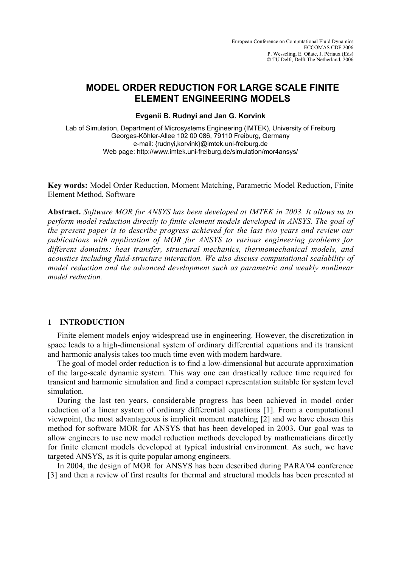# **MODEL ORDER REDUCTION FOR LARGE SCALE FINITE ELEMENT ENGINEERING MODELS**

**Evgenii B. Rudnyi and Jan G. Korvink**

Lab of Simulation, Department of Microsystems Engineering (IMTEK), University of Freiburg Georges-Köhler-Allee 102 00 086, 79110 Freiburg, Germany e-mail: {rudnyi,korvink}@imtek.uni-freiburg.de Web page: http://www.imtek.uni-freiburg.de/simulation/mor4ansys/

**Key words:** Model Order Reduction, Moment Matching, Parametric Model Reduction, Finite Element Method, Software

**Abstract.** *Software MOR for ANSYS has been developed at IMTEK in 2003. It allows us to perform model reduction directly to finite element models developed in ANSYS. The goal of the present paper is to describe progress achieved for the last two years and review our publications with application of MOR for ANSYS to various engineering problems for different domains: heat transfer, structural mechanics, thermomechanical models, and acoustics including fluid-structure interaction. We also discuss computational scalability of model reduction and the advanced development such as parametric and weakly nonlinear model reduction.*

# **1 INTRODUCTION**

Finite element models enjoy widespread use in engineering. However, the discretization in space leads to a high-dimensional system of ordinary differential equations and its transient and harmonic analysis takes too much time even with modern hardware.

The goal of model order reduction is to find a low-dimensional but accurate approximation of the large-scale dynamic system. This way one can drastically reduce time required for transient and harmonic simulation and find a compact representation suitable for system level simulation.

During the last ten years, considerable progress has been achieved in model order reduction of a linear system of ordinary differential equations [1]. From a computational viewpoint, the most advantageous is implicit moment matching [2] and we have chosen this method for software MOR for ANSYS that has been developed in 2003. Our goal was to allow engineers to use new model reduction methods developed by mathematicians directly for finite element models developed at typical industrial environment. As such, we have targeted ANSYS, as it is quite popular among engineers.

In 2004, the design of MOR for ANSYS has been described during PARA'04 conference [3] and then a review of first results for thermal and structural models has been presented at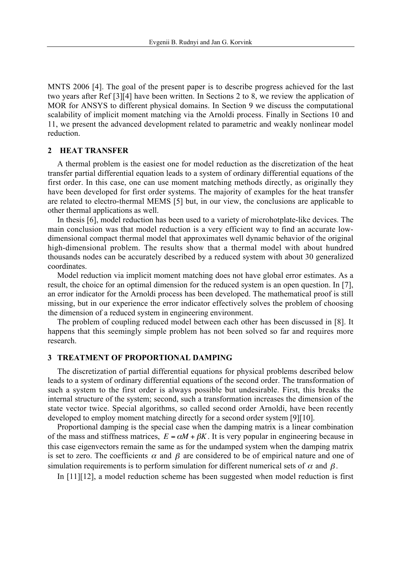MNTS 2006 [4]. The goal of the present paper is to describe progress achieved for the last two years after Ref [3][4] have been written. In Sections 2 to 8, we review the application of MOR for ANSYS to different physical domains. In Section 9 we discuss the computational scalability of implicit moment matching via the Arnoldi process. Finally in Sections 10 and 11, we present the advanced development related to parametric and weakly nonlinear model reduction.

#### **2 HEAT TRANSFER**

A thermal problem is the easiest one for model reduction as the discretization of the heat transfer partial differential equation leads to a system of ordinary differential equations of the first order. In this case, one can use moment matching methods directly, as originally they have been developed for first order systems. The majority of examples for the heat transfer are related to electro-thermal MEMS [5] but, in our view, the conclusions are applicable to other thermal applications as well.

In thesis [6], model reduction has been used to a variety of microhotplate-like devices. The main conclusion was that model reduction is a very efficient way to find an accurate lowdimensional compact thermal model that approximates well dynamic behavior of the original high-dimensional problem. The results show that a thermal model with about hundred thousands nodes can be accurately described by a reduced system with about 30 generalized coordinates.

Model reduction via implicit moment matching does not have global error estimates. As a result, the choice for an optimal dimension for the reduced system is an open question. In [7], an error indicator for the Arnoldi process has been developed. The mathematical proof is still missing, but in our experience the error indicator effectively solves the problem of choosing the dimension of a reduced system in engineering environment.

The problem of coupling reduced model between each other has been discussed in [8]. It happens that this seemingly simple problem has not been solved so far and requires more research.

#### **3 TREATMENT OF PROPORTIONAL DAMPING**

The discretization of partial differential equations for physical problems described below leads to a system of ordinary differential equations of the second order. The transformation of such a system to the first order is always possible but undesirable. First, this breaks the internal structure of the system; second, such a transformation increases the dimension of the state vector twice. Special algorithms, so called second order Arnoldi, have been recently developed to employ moment matching directly for a second order system [9][10].

Proportional damping is the special case when the damping matrix is a linear combination of the mass and stiffness matrices,  $E = \alpha M + \beta K$ . It is very popular in engineering because in this case eigenvectors remain the same as for the undamped system when the damping matrix is set to zero. The coefficients  $\alpha$  and  $\beta$  are considered to be of empirical nature and one of simulation requirements is to perform simulation for different numerical sets of  $\alpha$  and  $\beta$ .

In  $[11][12]$ , a model reduction scheme has been suggested when model reduction is first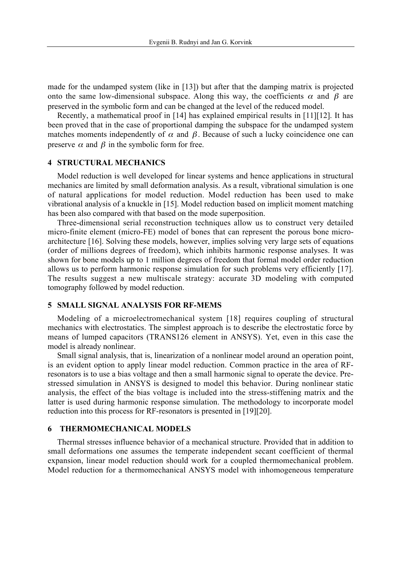made for the undamped system (like in [13]) but after that the damping matrix is projected onto the same low-dimensional subspace. Along this way, the coefficients  $\alpha$  and  $\beta$  are preserved in the symbolic form and can be changed at the level of the reduced model.

been proved that in the case of proportional damping the subspace for the undamped system<br>matches moments independently of  $\alpha$  and  $\beta$ . Because of such a lucky coincidence one can Recently, a mathematical proof in [14] has explained empirical results in [11][12]. It has been proved that in the case of proportional damping the subspace for the undamped system preserve  $\alpha$  and  $\beta$  in the symbolic form for free.

# € **4 STRUCTURAL MECHANICS**

Model reduction is well developed for linear systems and hence applications in structural<br>charges are limited because it defermed in analyzis, A cancelly either in al simulation is an mechanics are limited by small deformation analysis. As a result, vibrational simulation is one of natural applications for model reduction. Model reduction has been used to make vibrational analysis of a knuckle in [15]. Model reduction based on implicit moment matching has been also compared with that based on the mode superposition.

Three-dimensional serial reconstruction techniques allow us to construct very detailed micro-finite element (micro-FE) model of bones that can represent the porous bone microarchitecture [16]. Solving these models, however, implies solving very large sets of equations (order of millions degrees of freedom), which inhibits harmonic response analyses. It was shown for bone models up to 1 million degrees of freedom that formal model order reduction allows us to perform harmonic response simulation for such problems very efficiently [17]. The results suggest a new multiscale strategy: accurate 3D modeling with computed tomography followed by model reduction.

#### **5 SMALL SIGNAL ANALYSIS FOR RF-MEMS**

Modeling of a microelectromechanical system [18] requires coupling of structural mechanics with electrostatics. The simplest approach is to describe the electrostatic force by means of lumped capacitors (TRANS126 element in ANSYS). Yet, even in this case the model is already nonlinear.

Small signal analysis, that is, linearization of a nonlinear model around an operation point, is an evident option to apply linear model reduction. Common practice in the area of RFresonators is to use a bias voltage and then a small harmonic signal to operate the device. Prestressed simulation in ANSYS is designed to model this behavior. During nonlinear static analysis, the effect of the bias voltage is included into the stress-stiffening matrix and the latter is used during harmonic response simulation. The methodology to incorporate model reduction into this process for RF-resonators is presented in [19][20].

#### **6 THERMOMECHANICAL MODELS**

Thermal stresses influence behavior of a mechanical structure. Provided that in addition to small deformations one assumes the temperate independent secant coefficient of thermal expansion, linear model reduction should work for a coupled thermomechanical problem. Model reduction for a thermomechanical ANSYS model with inhomogeneous temperature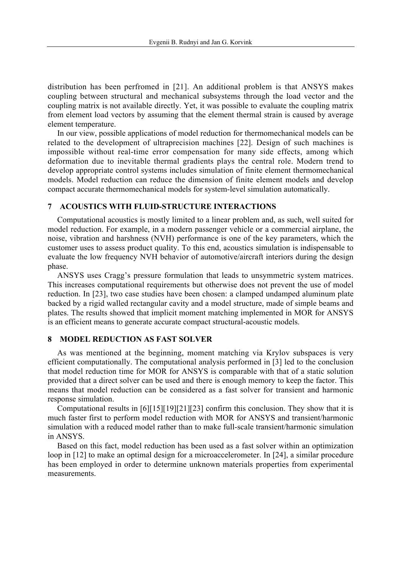distribution has been perfromed in [21]. An additional problem is that ANSYS makes coupling between structural and mechanical subsystems through the load vector and the coupling matrix is not available directly. Yet, it was possible to evaluate the coupling matrix from element load vectors by assuming that the element thermal strain is caused by average element temperature.

In our view, possible applications of model reduction for thermomechanical models can be related to the development of ultraprecision machines [22]. Design of such machines is impossible without real-time error compensation for many side effects, among which deformation due to inevitable thermal gradients plays the central role. Modern trend to develop appropriate control systems includes simulation of finite element thermomechanical models. Model reduction can reduce the dimension of finite element models and develop compact accurate thermomechanical models for system-level simulation automatically.

#### **7 ACOUSTICS WITH FLUID-STRUCTURE INTERACTIONS**

Computational acoustics is mostly limited to a linear problem and, as such, well suited for model reduction. For example, in a modern passenger vehicle or a commercial airplane, the noise, vibration and harshness (NVH) performance is one of the key parameters, which the customer uses to assess product quality. To this end, acoustics simulation is indispensable to evaluate the low frequency NVH behavior of automotive/aircraft interiors during the design phase.

ANSYS uses Cragg's pressure formulation that leads to unsymmetric system matrices. This increases computational requirements but otherwise does not prevent the use of model reduction. In [23], two case studies have been chosen: a clamped undamped aluminum plate backed by a rigid walled rectangular cavity and a model structure, made of simple beams and plates. The results showed that implicit moment matching implemented in MOR for ANSYS is an efficient means to generate accurate compact structural-acoustic models.

#### **8 MODEL REDUCTION AS FAST SOLVER**

As was mentioned at the beginning, moment matching via Krylov subspaces is very efficient computationally. The computational analysis performed in [3] led to the conclusion that model reduction time for MOR for ANSYS is comparable with that of a static solution provided that a direct solver can be used and there is enough memory to keep the factor. This means that model reduction can be considered as a fast solver for transient and harmonic response simulation.

Computational results in [6][15][19][21][23] confirm this conclusion. They show that it is much faster first to perform model reduction with MOR for ANSYS and transient/harmonic simulation with a reduced model rather than to make full-scale transient/harmonic simulation in ANSYS.

Based on this fact, model reduction has been used as a fast solver within an optimization loop in [12] to make an optimal design for a microaccelerometer. In [24], a similar procedure has been employed in order to determine unknown materials properties from experimental measurements.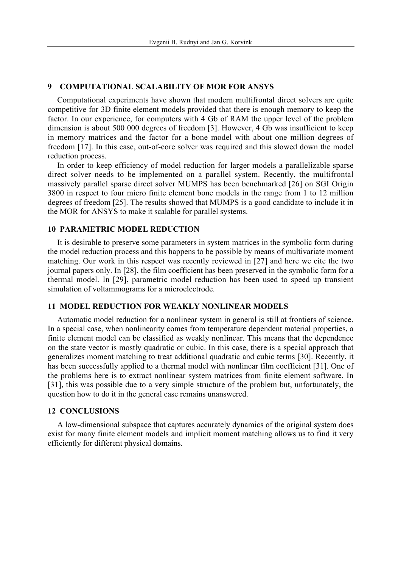## **9 COMPUTATIONAL SCALABILITY OF MOR FOR ANSYS**

Computational experiments have shown that modern multifrontal direct solvers are quite competitive for 3D finite element models provided that there is enough memory to keep the factor. In our experience, for computers with 4 Gb of RAM the upper level of the problem dimension is about 500 000 degrees of freedom [3]. However, 4 Gb was insufficient to keep in memory matrices and the factor for a bone model with about one million degrees of freedom [17]. In this case, out-of-core solver was required and this slowed down the model reduction process.

In order to keep efficiency of model reduction for larger models a parallelizable sparse direct solver needs to be implemented on a parallel system. Recently, the multifrontal massively parallel sparse direct solver MUMPS has been benchmarked [26] on SGI Origin 3800 in respect to four micro finite element bone models in the range from 1 to 12 million degrees of freedom [25]. The results showed that MUMPS is a good candidate to include it in the MOR for ANSYS to make it scalable for parallel systems.

#### **10 PARAMETRIC MODEL REDUCTION**

It is desirable to preserve some parameters in system matrices in the symbolic form during the model reduction process and this happens to be possible by means of multivariate moment matching. Our work in this respect was recently reviewed in [27] and here we cite the two journal papers only. In [28], the film coefficient has been preserved in the symbolic form for a thermal model. In [29], parametric model reduction has been used to speed up transient simulation of voltammograms for a microelectrode.

#### **11 MODEL REDUCTION FOR WEAKLY NONLINEAR MODELS**

Automatic model reduction for a nonlinear system in general is still at frontiers of science. In a special case, when nonlinearity comes from temperature dependent material properties, a finite element model can be classified as weakly nonlinear. This means that the dependence on the state vector is mostly quadratic or cubic. In this case, there is a special approach that generalizes moment matching to treat additional quadratic and cubic terms [30]. Recently, it has been successfully applied to a thermal model with nonlinear film coefficient [31]. One of the problems here is to extract nonlinear system matrices from finite element software. In [31], this was possible due to a very simple structure of the problem but, unfortunately, the question how to do it in the general case remains unanswered.

#### **12 CONCLUSIONS**

A low-dimensional subspace that captures accurately dynamics of the original system does exist for many finite element models and implicit moment matching allows us to find it very efficiently for different physical domains.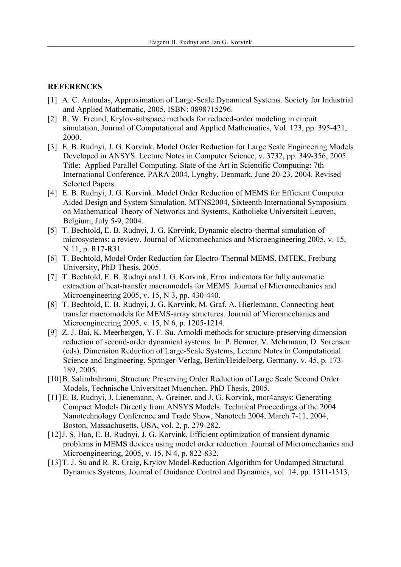### **REFERENCES**

- [1] A. C. Antoulas, Approximation of Large-Scale Dynamical Systems. Society for Industrial and Applied Mathematic, 2005, ISBN: 0898715296.
- [2] R. W. Freund, Krylov-subspace methods for reduced-order modeling in circuit simulation, Journal of Computational and Applied Mathematics, Vol. 123, pp. 395-421, 2000.
- [3] E. B. Rudnyi, J. G. Korvink. Model Order Reduction for Large Scale Engineering Models Developed in ANSYS. Lecture Notes in Computer Science, v. 3732, pp. 349-356, 2005. Title: Applied Parallel Computing. State of the Art in Scientific Computing: 7th International Conference, PARA 2004, Lyngby, Denmark, June 20-23, 2004. Revised Selected Papers.
- [4] E. B. Rudnyi, J. G. Korvink. Model Order Reduction of MEMS for Efficient Computer Aided Design and System Simulation. MTNS2004, Sixteenth International Symposium on Mathematical Theory of Networks and Systems, Katholieke Universiteit Leuven, Belgium, July 5-9, 2004.
- [5] T. Bechtold, E. B. Rudnyi, J. G. Korvink, Dynamic electro-thermal simulation of microsystems: a review. Journal of Micromechanics and Microengineering 2005, v. 15, N 11, p. R17-R31.
- [6] T. Bechtold, Model Order Reduction for Electro-Thermal MEMS. IMTEK, Freiburg University, PhD Thesis, 2005.
- [7] T. Bechtold, E. B. Rudnyi and J. G. Korvink, Error indicators for fully automatic extraction of heat-transfer macromodels for MEMS. Journal of Micromechanics and Microengineering 2005, v. 15, N 3, pp. 430-440.
- [8] T. Bechtold, E. B. Rudnyi, J. G. Korvink, M. Graf, A. Hierlemann, Connecting heat transfer macromodels for MEMS-array structures. Journal of Micromechanics and Microengineering 2005, v. 15, N 6, p. 1205-1214.
- [9] Z. J. Bai, K. Meerbergen, Y. F. Su. Arnoldi methods for structure-preserving dimension reduction of second-order dynamical systems. In: P. Benner, V. Mehrmann, D. Sorensen (eds), Dimension Reduction of Large-Scale Systems, Lecture Notes in Computational Science and Engineering. Springer-Verlag, Berlin/Heidelberg, Germany, v. 45, p. 173- 189, 2005.
- [10]B. Salimbahrami, Structure Preserving Order Reduction of Large Scale Second Order Models, Technische Universitaet Muenchen, PhD Thesis, 2005.
- [11]E. B. Rudnyi, J. Lienemann, A. Greiner, and J. G. Korvink, mor4ansys: Generating Compact Models Directly from ANSYS Models. Technical Proceedings of the 2004 Nanotechnology Conference and Trade Show, Nanotech 2004, March 7-11, 2004, Boston, Massachusetts, USA, vol. 2, p. 279-282.
- [12]J. S. Han, E. B. Rudnyi, J. G. Korvink. Efficient optimization of transient dynamic problems in MEMS devices using model order reduction. Journal of Micromechanics and Microengineering, 2005, v. 15, N 4, p. 822-832.
- [13] T. J. Su and R. R. Craig, Krylov Model-Reduction Algorithm for Undamped Structural Dynamics Systems, Journal of Guidance Control and Dynamics, vol. 14, pp. 1311-1313,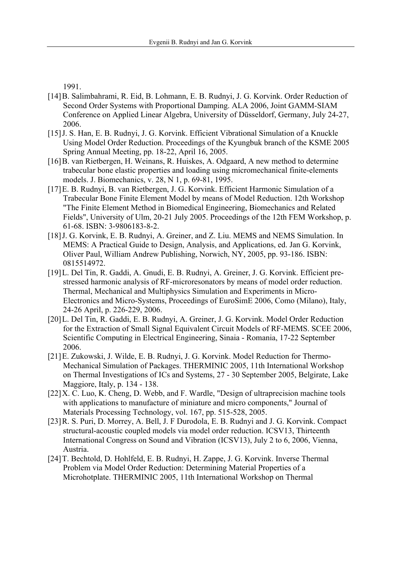1991.

- [14]B. Salimbahrami, R. Eid, B. Lohmann, E. B. Rudnyi, J. G. Korvink. Order Reduction of Second Order Systems with Proportional Damping. ALA 2006, Joint GAMM-SIAM Conference on Applied Linear Algebra, University of Düsseldorf, Germany, July 24-27, 2006.
- [15]J. S. Han, E. B. Rudnyi, J. G. Korvink. Efficient Vibrational Simulation of a Knuckle Using Model Order Reduction. Proceedings of the Kyungbuk branch of the KSME 2005 Spring Annual Meeting, pp. 18-22, April 16, 2005.
- [16]B. van Rietbergen, H. Weinans, R. Huiskes, A. Odgaard, A new method to determine trabecular bone elastic properties and loading using micromechanical finite-elements models. J. Biomechanics, v. 28, N 1, p. 69-81, 1995.
- [17]E. B. Rudnyi, B. van Rietbergen, J. G. Korvink. Efficient Harmonic Simulation of a Trabecular Bone Finite Element Model by means of Model Reduction. 12th Workshop "The Finite Element Method in Biomedical Engineering, Biomechanics and Related Fields", University of Ulm, 20-21 July 2005. Proceedings of the 12th FEM Workshop, p. 61-68. ISBN: 3-9806183-8-2.
- [18]J. G. Korvink, E. B. Rudnyi, A. Greiner, and Z. Liu. MEMS and NEMS Simulation. In MEMS: A Practical Guide to Design, Analysis, and Applications, ed. Jan G. Korvink, Oliver Paul, William Andrew Publishing, Norwich, NY, 2005, pp. 93-186. ISBN: 0815514972.
- [19]L. Del Tin, R. Gaddi, A. Gnudi, E. B. Rudnyi, A. Greiner, J. G. Korvink. Efficient prestressed harmonic analysis of RF-microresonators by means of model order reduction. Thermal, Mechanical and Multiphysics Simulation and Experiments in Micro-Electronics and Micro-Systems, Proceedings of EuroSimE 2006, Como (Milano), Italy, 24-26 April, p. 226-229, 2006.
- [20]L. Del Tin, R. Gaddi, E. B. Rudnyi, A. Greiner, J. G. Korvink. Model Order Reduction for the Extraction of Small Signal Equivalent Circuit Models of RF-MEMS. SCEE 2006, Scientific Computing in Electrical Engineering, Sinaia - Romania, 17-22 September 2006.
- [21]E. Zukowski, J. Wilde, E. B. Rudnyi, J. G. Korvink. Model Reduction for Thermo-Mechanical Simulation of Packages. THERMINIC 2005, 11th International Workshop on Thermal Investigations of ICs and Systems, 27 - 30 September 2005, Belgirate, Lake Maggiore, Italy, p. 134 - 138.
- [22] X. C. Luo, K. Cheng, D. Webb, and F. Wardle, "Design of ultraprecision machine tools with applications to manufacture of miniature and micro components," Journal of Materials Processing Technology, vol. 167, pp. 515-528, 2005.
- [23]R. S. Puri, D. Morrey, A. Bell, J. F Durodola, E. B. Rudnyi and J. G. Korvink. Compact structural-acoustic coupled models via model order reduction. ICSV13, Thirteenth International Congress on Sound and Vibration (ICSV13), July 2 to 6, 2006, Vienna, Austria.
- [24]T. Bechtold, D. Hohlfeld, E. B. Rudnyi, H. Zappe, J. G. Korvink. Inverse Thermal Problem via Model Order Reduction: Determining Material Properties of a Microhotplate. THERMINIC 2005, 11th International Workshop on Thermal